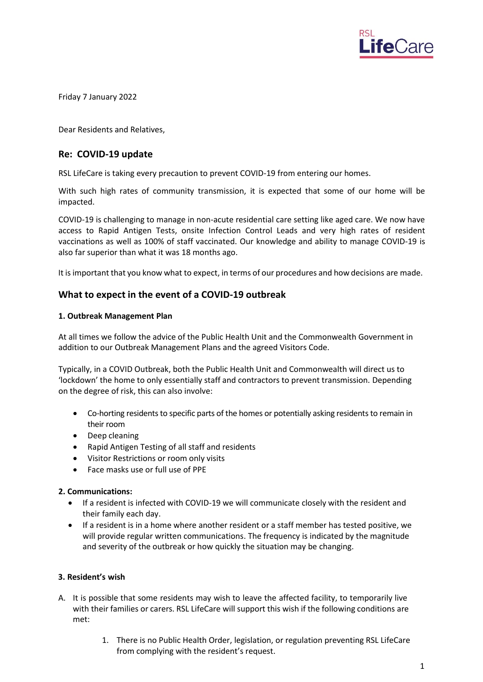

Friday 7 January 2022

Dear Residents and Relatives,

# **Re: COVID-19 update**

RSL LifeCare is taking every precaution to prevent COVID-19 from entering our homes.

With such high rates of community transmission, it is expected that some of our home will be impacted.

COVID-19 is challenging to manage in non-acute residential care setting like aged care. We now have access to Rapid Antigen Tests, onsite Infection Control Leads and very high rates of resident vaccinations as well as 100% of staff vaccinated. Our knowledge and ability to manage COVID-19 is also far superior than what it was 18 months ago.

It is important that you know what to expect, in terms of our procedures and how decisions are made.

# **What to expect in the event of a COVID-19 outbreak**

### **1. Outbreak Management Plan**

At all times we follow the advice of the Public Health Unit and the Commonwealth Government in addition to our Outbreak Management Plans and the agreed Visitors Code.

Typically, in a COVID Outbreak, both the Public Health Unit and Commonwealth will direct us to 'lockdown' the home to only essentially staff and contractors to prevent transmission. Depending on the degree of risk, this can also involve:

- Co-horting residents to specific parts of the homes or potentially asking residents to remain in their room
- Deep cleaning
- Rapid Antigen Testing of all staff and residents
- Visitor Restrictions or room only visits
- Face masks use or full use of PPE

## **2. Communications:**

- If a resident is infected with COVID-19 we will communicate closely with the resident and their family each day.
- If a resident is in a home where another resident or a staff member has tested positive, we will provide regular written communications. The frequency is indicated by the magnitude and severity of the outbreak or how quickly the situation may be changing.

### **3. Resident's wish**

- A. It is possible that some residents may wish to leave the affected facility, to temporarily live with their families or carers. RSL LifeCare will support this wish if the following conditions are met:
	- 1. There is no Public Health Order, legislation, or regulation preventing RSL LifeCare from complying with the resident's request.